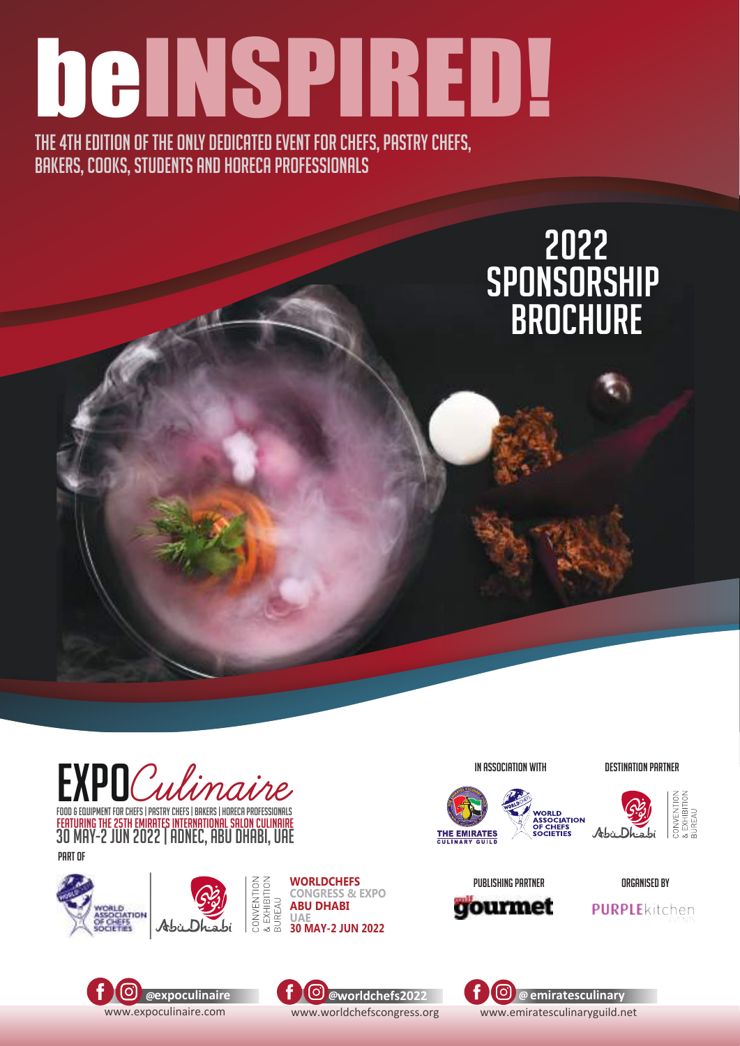# beINSPIRED!

THE 4TH EDITION OF THE ONLY DEDICATED EVENT FOR CHEFS, PASTRY CHEFS, BAKERS, COOKS, STUDENTS AND HORECA PROFESSIONALS

#### 2022 sponsorship **BROCHURE**



featuring the 25th Emirates INTERNATIONAL SALON CULINAIRE food & equipment for chefs | pastry Chefs | Bakers | Horeca Professionals food & equipment for chefs | pastry Chefs | Bakers | Horeca Professionals 30 may-2 jun 2022 | adnec, abu dhabi, uae FEATURING THE 25TH EMIRATES INTERNATIONAL SALON CULINAIRE<br>30 MAN 2021 UNIVERSITY OF CONFIDERATION 30 may-2 jun 2022 | adnec, abu dhabi, uae part of





**WORLDCHEFS CONGRESS & EXPO ABU DHABI UAE**

#### In Association with DESTINATION PARTNER





EXHIBITION<br>JREAU



OrganIsed by







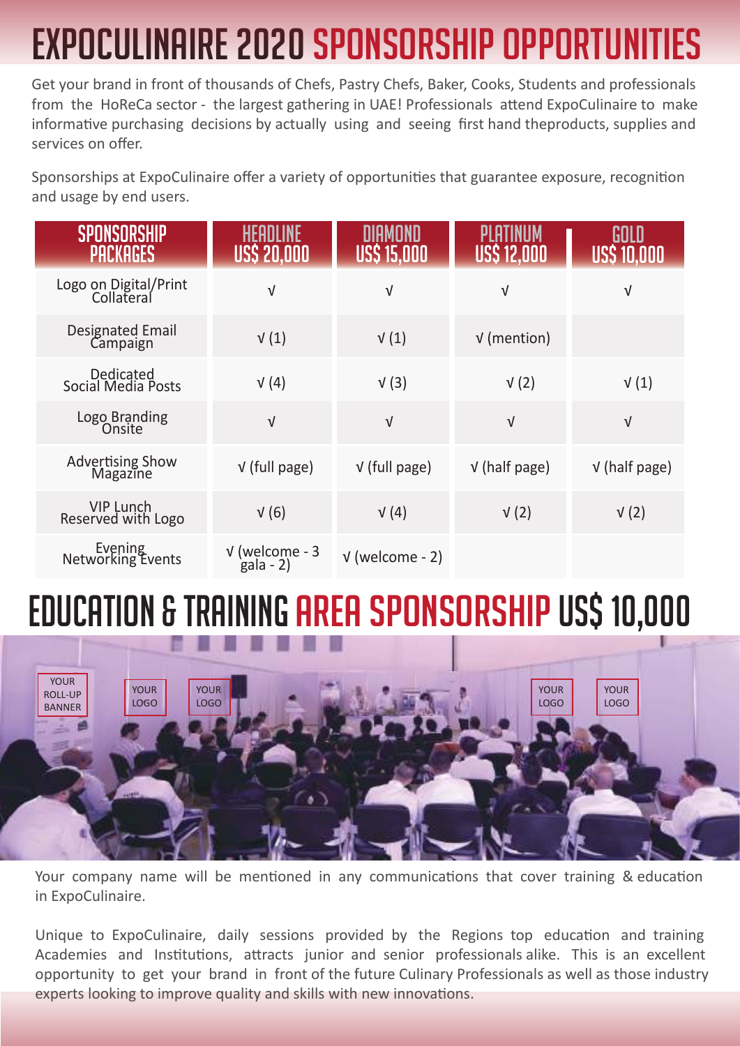# EXPOCULINAIRE 2020 SPONSORSHIP OPPORTUN

Get your brand in front of thousands of Chefs, Pastry Chefs, Baker, Cooks, Students and professionals from the HoReCa sector - the largest gathering in UAE! Professionals attend ExpoCulinaire to make informative purchasing decisions by actually using and seeing first hand theproducts, supplies and services on offer.

Sponsorships at ExpoCulinaire offer a variety of opportunities that guarantee exposure, recognition and usage by end users.

| <b>PACKAGES</b>                     | US\$ 20,000                    | US\$ 15,000       | US\$ 12,000     | GULU<br>USS 10,000 |
|-------------------------------------|--------------------------------|-------------------|-----------------|--------------------|
| Logo on Digital/Print<br>Collateral | $\sqrt{}$                      | $\sqrt{ }$        | $\sqrt{ }$      | $\sqrt{ }$         |
| <b>Designated Email</b><br>Campaign | V(1)                           | V(1)              | $V$ (mention)   |                    |
| Dedicated<br>Social Media Posts     | $\sqrt{(4)}$                   | V(3)              | V(2)            | V(1)               |
| Logo Branding<br>Onsite             | $\sqrt{ }$                     | $\sqrt{ }$        | $\sqrt{}$       | $\sqrt{ }$         |
| Advertising Show<br>Magazine        | $V$ (full page)                | $V$ (full page)   | $V$ (half page) | $V$ (half page)    |
| VIP Lunch<br>Reserved with Logo     | V(6)                           | $\sqrt{(4)}$      | $\sqrt(2)$      | $\sqrt(2)$         |
| Evening<br>Networking Events        | $V$ (welcome - 3<br>$gala - 2$ | $V$ (welcome - 2) |                 |                    |

## education & trainingarea SPONSORSHIP US\$ 10,000



Your company name will be mentioned in any communications that cover training & education in ExpoCulinaire.

Unique to ExpoCulinaire, daily sessions provided by the Regions top education and training Academies and Institutions, attracts junior and senior professionals alike. This is an excellent opportunity to get your brand in front of the future Culinary Professionals as well as those industry experts looking to improve quality and skills with new innovations.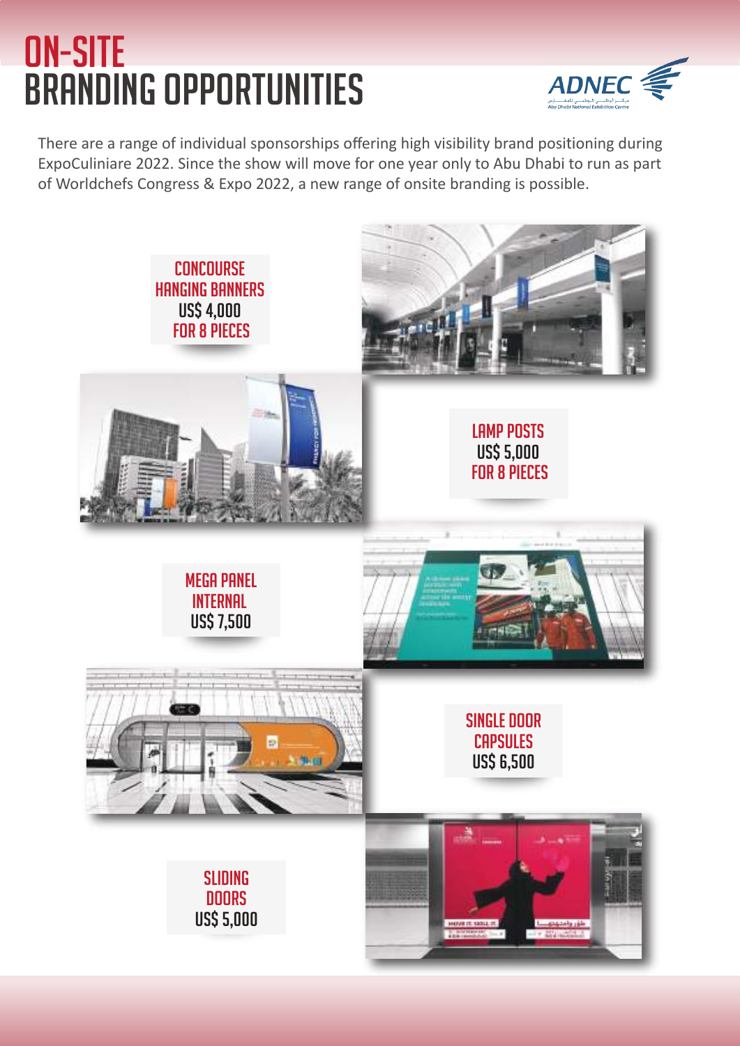#### on-site branding opportunities



There are a range of individual sponsorships offering high visibility brand positioning during ExpoCuliniare 2022. Since the show will move for one year only to Abu Dhabi to run as part of Worldchefs Congress & Expo 2022, a new range of onsite branding is possible.